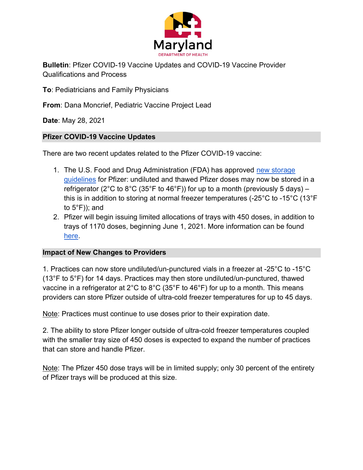

Bulletin: Pfizer COVID-19 Vaccine Updates and COVID-19 Vaccine Provider Qualifications and Process

To: Pediatricians and Family Physicians

From: Dana Moncrief, Pediatric Vaccine Project Lead

Date: May 28, 2021

## Pfizer COVID-19 Vaccine Updates

There are two recent updates related to the Pfizer COVID-19 vaccine:

- 1. The U.S. Food and Drug Administration (FDA) has approved new storage guidelines for Pfizer: undiluted and thawed Pfizer doses may now be stored in a refrigerator (2°C to 8°C (35°F to 46°F)) for up to a month (previously 5 days) – this is in addition to storing at normal freezer temperatures (-25°C to -15°C (13°F to 5°F)); and
- 2. Pfizer will begin issuing limited allocations of trays with 450 doses, in addition to trays of 1170 doses, beginning June 1, 2021. More information can be found here.

## Impact of New Changes to Providers

1. Practices can now store undiluted/un-punctured vials in a freezer at -25°C to -15°C (13°F to 5°F) for 14 days. Practices may then store undiluted/un-punctured, thawed vaccine in a refrigerator at 2°C to 8°C (35°F to 46°F) for up to a month. This means providers can store Pfizer outside of ultra-cold freezer temperatures for up to 45 days.

Note: Practices must continue to use doses prior to their expiration date.

2. The ability to store Pfizer longer outside of ultra-cold freezer temperatures coupled with the smaller tray size of 450 doses is expected to expand the number of practices that can store and handle Pfizer.

Note: The Pfizer 450 dose trays will be in limited supply; only 30 percent of the entirety of Pfizer trays will be produced at this size.